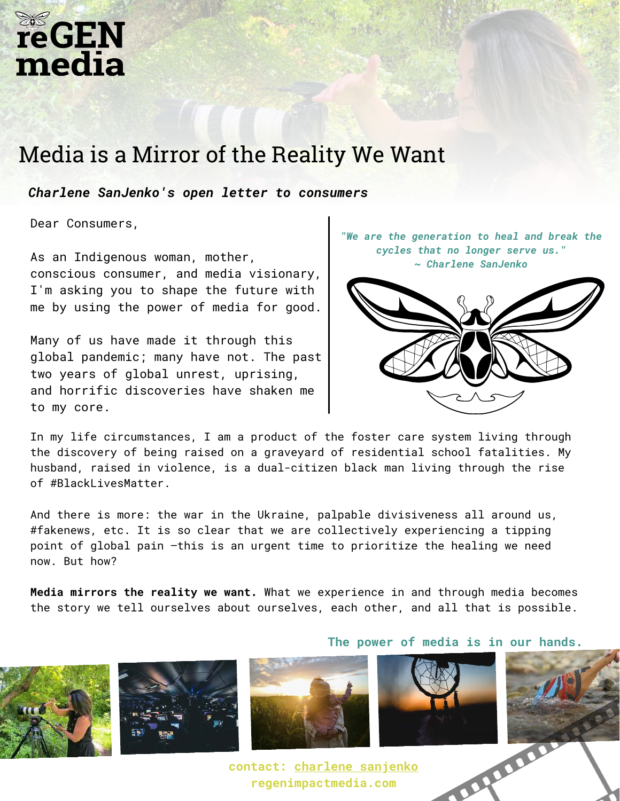## **reGEN** media

## Media is a Mirror of the Reality We Want

*Charlene SanJenko's open letter to consumers*

Dear Consumers,

As an Indigenous woman, mother, conscious consumer, and media visionary, I'm asking you to shape the future with me by using the power of media for good.

Many of us have made it through this global pandemic; many have not. The past two years of global unrest, uprising, and horrific discoveries have shaken me to my core.

*"We are the generation to heal and break the cycles that no longer serve us." ~ Charlene SanJenko*



In my life circumstances, I am a product of the foster care system living through the discovery of being raised on a graveyard of residential school fatalities. My husband, raised in violence, is a dual-citizen black man living through the rise of #BlackLivesMatter.

And there is more: the war in the Ukraine, palpable divisiveness all around us, #fakenews, etc. It is so clear that we are collectively experiencing a tipping point of global pain —this is an urgent time to prioritize the healing we need now. But how?

**Media mirrors the reality we want.** What we experience in and through media becomes the story we tell ourselves about ourselves, each other, and all that is possible.









**contact: [charlene sanjenko](https://www.powherhouse.com/charlene-sanjenko-2/) regenimpactmedia.com**

**The power of media is in our hands.**